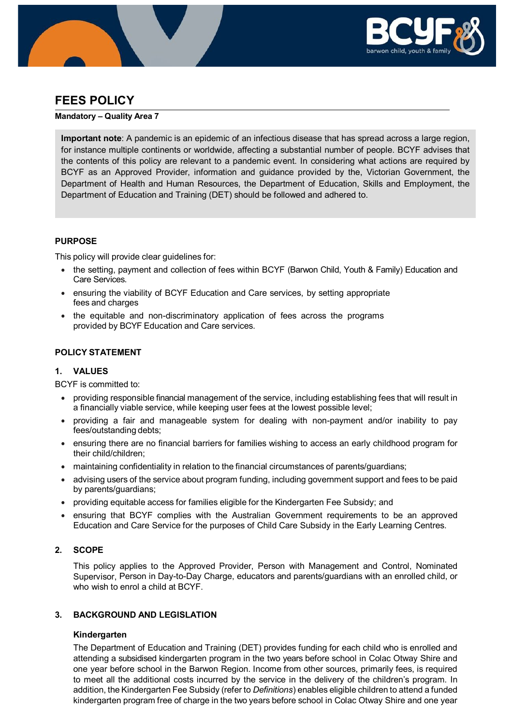

# **FEES POLICY**

#### **Mandatory – Quality Area 7**

**Important note**: A pandemic is an epidemic of an infectious disease that has spread across a large region, for instance multiple continents or worldwide, affecting a substantial number of people. BCYF advises that the contents of this policy are relevant to a pandemic event. In considering what actions are required by BCYF as an Approved Provider, information and guidance provided by the, Victorian Government, the Department of Health and Human Resources, the Department of Education, Skills and Employment, the Department of Education and Training (DET) should be followed and adhered to.

## **PURPOSE**

This policy will provide clear guidelines for:

- the setting, payment and collection of fees within BCYF (Barwon Child, Youth & Family) Education and Care Services.
- ensuring the viability of BCYF Education and Care services, by setting appropriate fees and charges
- the equitable and non-discriminatory application of fees across the programs provided by BCYF Education and Care services.

## **POLICY STATEMENT**

## **1. VALUES**

BCYF is committed to:

- providing responsible financial management of the service, including establishing fees that will result in a financially viable service, while keeping user fees at the lowest possible level;
- providing a fair and manageable system for dealing with non-payment and/or inability to pay fees/outstanding debts;
- ensuring there are no financial barriers for families wishing to access an early childhood program for their child/children;
- maintaining confidentiality in relation to the financial circumstances of parents/guardians;
- advising users of the service about program funding, including government support and fees to be paid by parents/guardians;
- providing equitable access for families eligible for the Kindergarten Fee Subsidy; and
- ensuring that BCYF complies with the Australian Government requirements to be an approved Education and Care Service for the purposes of Child Care Subsidy in the Early Learning Centres.

# **2. SCOPE**

This policy applies to the Approved Provider, Person with Management and Control, Nominated Supervisor, Person in Day-to-Day Charge, educators and parents/guardians with an enrolled child, or who wish to enrol a child at BCYF.

## **3. BACKGROUND AND LEGISLATION**

## **Kindergarten**

The Department of Education and Training (DET) provides funding for each child who is enrolled and attending a subsidised kindergarten program in the two years before school in Colac Otway Shire and one year before school in the Barwon Region. Income from other sources, primarily fees, is required to meet all the additional costs incurred by the service in the delivery of the children's program. In addition, the Kindergarten Fee Subsidy (refer to *Definitions*) enables eligible children to attend a funded kindergarten program free of charge in the two years before school in Colac Otway Shire and one year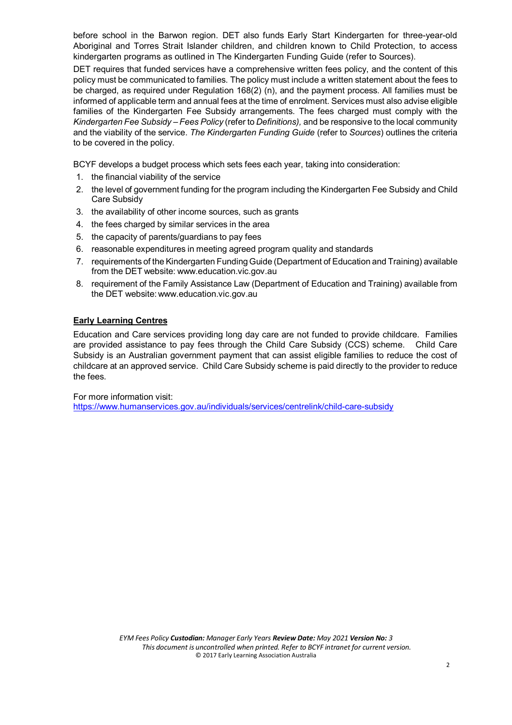before school in the Barwon region. DET also funds Early Start Kindergarten for three-year-old Aboriginal and Torres Strait Islander children, and children known to Child Protection, to access kindergarten programs as outlined in The Kindergarten Funding Guide (refer to Sources).

DET requires that funded services have a comprehensive written fees policy, and the content of this policy must be communicated to families. The policy must include a written statement about the fees to be charged, as required under Regulation 168(2) (n), and the payment process. All families must be informed of applicable term and annual fees at the time of enrolment. Services must also advise eligible families of the Kindergarten Fee Subsidy arrangements. The fees charged must comply with the *Kindergarten Fee Subsidy – Fees Policy* (refer to *Definitions),* and be responsive to the local community and the viability of the service. *The Kindergarten Funding Guide* (refer to *Sources*) outlines the criteria to be covered in the policy.

BCYF develops a budget process which sets fees each year, taking into consideration:

- 1. the financial viability of the service
- 2. the level of government funding for the program including the Kindergarten Fee Subsidy and Child Care Subsidy
- 3. the availability of other income sources, such as grants
- 4. the fees charged by similar services in the area
- 5. the capacity of parents/guardians to pay fees
- 6. reasonable expenditures in meeting agreed program quality and standards
- 7. requirements of the Kindergarten Funding Guide (Department of Education and Training) available from the DET website: [www.education.vic.gov.au](http://www.education.vic.gov.au/)
- 8. requirement of the Family Assistance Law (Department of Education and Training) available from the DET website: [www.education.vic.gov.au](http://www.education.vic.gov.au/)

# **Early Learning Centres**

Education and Care services providing long day care are not funded to provide childcare. Families are provided assistance to pay fees through the Child Care Subsidy (CCS) scheme. Child Care Subsidy is an Australian government payment that can assist eligible families to reduce the cost of childcare at an approved service. Child Care Subsidy scheme is paid directly to the provider to reduce the fees.

For more information visit:

<https://www.humanservices.gov.au/individuals/services/centrelink/child-care-subsidy>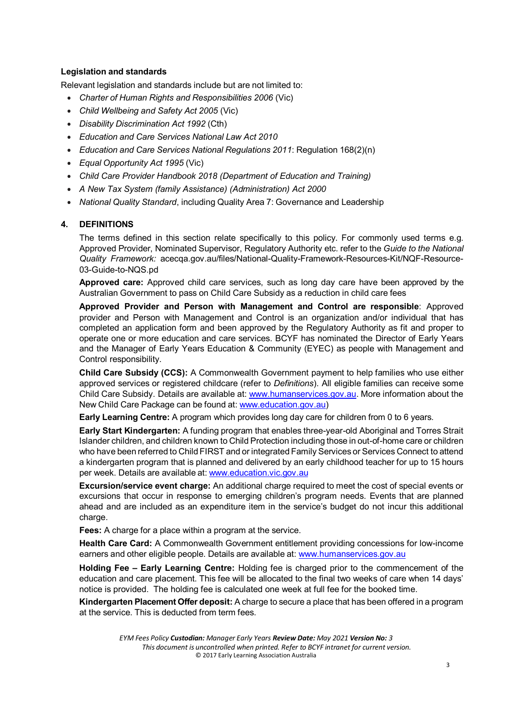## **Legislation and standards**

Relevant legislation and standards include but are not limited to:

- *Charter of Human Rights and Responsibilities 2006* (Vic)
- *Child Wellbeing and Safety Act 2005* (Vic)
- *Disability Discrimination Act 1992* (Cth)
- *Education and Care Services National Law Act 2010*
- *Education and Care Services National Regulations 2011*: Regulation 168(2)(n)
- *Equal Opportunity Act 1995* (Vic)
- *Child Care Provider Handbook 2018 (Department of Education and Training)*
- *A New Tax System (family Assistance) (Administration) Act 2000*
- *National Quality Standard*, including Quality Area 7: Governance and Leadership

# **4. DEFINITIONS**

The terms defined in this section relate specifically to this policy. For commonly used terms e.g. Approved Provider, Nominated Supervisor, Regulatory Authority etc. refer to the *Guide to the National Quality Framework:* acecqa.gov.au/files/National-Quality-Framework-Resources-Kit/NQF-Resource-03-Guide-to-NQS.pd

**Approved care:** Approved child care services, such as long day care have been approved by the Australian Government to pass on Child Care Subsidy as a reduction in child care fees

**Approved Provider and Person with Management and Control are responsible**: Approved provider and Person with Management and Control is an organization and/or individual that has completed an application form and been approved by the Regulatory Authority as fit and proper to operate one or more education and care services. BCYF has nominated the Director of Early Years and the Manager of Early Years Education & Community (EYEC) as people with Management and Control responsibility.

**Child Care Subsidy (CCS):** A Commonwealth Government payment to help families who use either approved services or registered childcare (refer to *Definitions*). All eligible families can receive some Child Care Subsidy. Details are available at: [www.humanservices.gov.au.](https://www.humanservices.gov.au/) More information about the New Child Care Package can be found at: [www.education.gov.au\)](http://www.education.gov.au/)

**Early Learning Centre:** A program which provides long day care for children from 0 to 6 years.

**Early Start Kindergarten:** A funding program that enables three-year-old Aboriginal and Torres Strait Islander children, and children known to Child Protection including those in out-of-home care or children who have been referred to Child FIRST and or integrated Family Services or Services Connect to attend a kindergarten program that is planned and delivered by an early childhood teacher for up to 15 hours per week. Details are available at: [www.education.vic.gov.au](http://www.education.vic.gov.au/)

**Excursion/service event charge:** An additional charge required to meet the cost of special events or excursions that occur in response to emerging children's program needs. Events that are planned ahead and are included as an expenditure item in the service's budget do not incur this additional charge.

**Fees:** A charge for a place within a program at the service.

**Health Care Card:** A Commonwealth Government entitlement providing concessions for low-income earners and other eligible people. Details are available at: [www.humanservices.gov.au](https://www.humanservices.gov.au/)

**Holding Fee – Early Learning Centre:** Holding fee is charged prior to the commencement of the education and care placement. This fee will be allocated to the final two weeks of care when 14 days' notice is provided. The holding fee is calculated one week at full fee for the booked time.

**Kindergarten Placement Offer deposit:** A charge to secure a place that has been offered in a program at the service. This is deducted from term fees.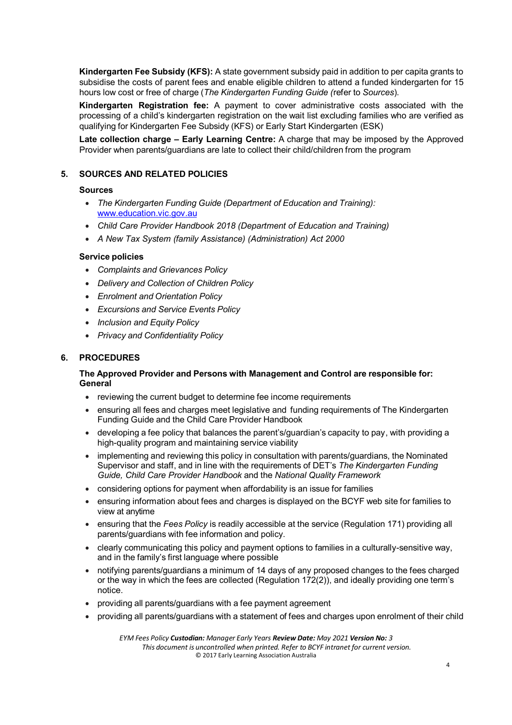**Kindergarten Fee Subsidy (KFS):** A state government subsidy paid in addition to per capita grants to subsidise the costs of parent fees and enable eligible children to attend a funded kindergarten for 15 hours low cost or free of charge (*The Kindergarten Funding Guide (*refer to *Sources*).

**Kindergarten Registration fee:** A payment to cover administrative costs associated with the processing of a child's kindergarten registration on the wait list excluding families who are verified as qualifying for Kindergarten Fee Subsidy (KFS) or Early Start Kindergarten (ESK)

**Late collection charge – Early Learning Centre:** A charge that may be imposed by the Approved Provider when parents/guardians are late to collect their child/children from the program

# **5. SOURCES AND RELATED POLICIES**

#### **Sources**

- *The Kindergarten Funding Guide (Department of Education and Training):* [www.education.vic.gov.au](http://www.education.vic.gov.au/)
- *Child Care Provider Handbook 2018 (Department of Education and Training)*
- *A New Tax System (family Assistance) (Administration) Act 2000*

#### **Service policies**

- *Complaints and Grievances Policy*
- *Delivery and Collection of Children Policy*
- *Enrolment and Orientation Policy*
- *Excursions and Service Events Policy*
- *Inclusion and Equity Policy*
- *Privacy and Confidentiality Policy*

# **6. PROCEDURES**

## **The Approved Provider and Persons with Management and Control are responsible for: General**

- reviewing the current budget to determine fee income requirements
- ensuring all fees and charges meet legislative and funding requirements of The Kindergarten Funding Guide and the Child Care Provider Handbook
- developing a fee policy that balances the parent's/guardian's capacity to pay, with providing a high-quality program and maintaining service viability
- implementing and reviewing this policy in consultation with parents/guardians, the Nominated Supervisor and staff, and in line with the requirements of DET's *The Kindergarten Funding Guide, Child Care Provider Handbook* and the *National Quality Framework*
- considering options for payment when affordability is an issue for families
- ensuring information about fees and charges is displayed on the BCYF web site for families to view at anytime
- ensuring that the *Fees Policy* is readily accessible at the service (Regulation 171) providing all parents/guardians with fee information and policy.
- clearly communicating this policy and payment options to families in a culturally-sensitive way, and in the family's first language where possible
- notifying parents/guardians a minimum of 14 days of any proposed changes to the fees charged or the way in which the fees are collected (Regulation 172(2)), and ideally providing one term's notice.
- providing all parents/guardians with a fee payment agreement
- providing all parents/guardians with a statement of fees and charges upon enrolment of their child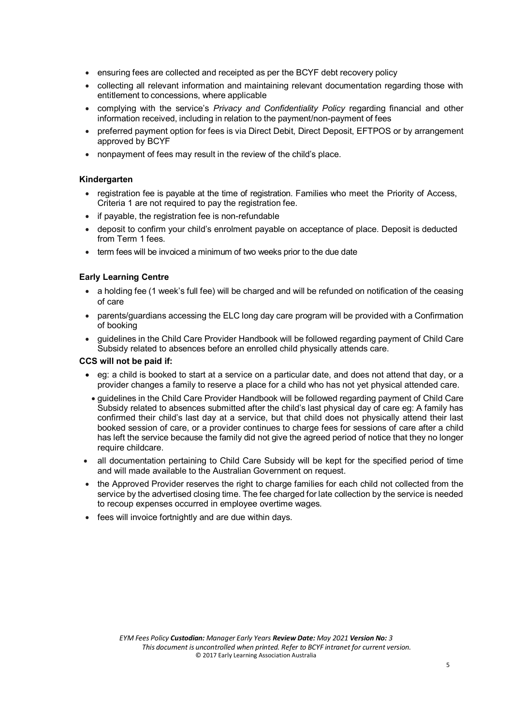- ensuring fees are collected and receipted as per the BCYF debt recovery policy
- collecting all relevant information and maintaining relevant documentation regarding those with entitlement to concessions, where applicable
- complying with the service's *Privacy and Confidentiality Policy* regarding financial and other information received, including in relation to the payment/non-payment of fees
- preferred payment option for fees is via Direct Debit, Direct Deposit, EFTPOS or by arrangement approved by BCYF
- nonpayment of fees may result in the review of the child's place.

#### **Kindergarten**

- registration fee is payable at the time of registration. Families who meet the Priority of Access, Criteria 1 are not required to pay the registration fee.
- if payable, the registration fee is non-refundable
- deposit to confirm your child's enrolment payable on acceptance of place. Deposit is deducted from Term 1 fees.
- term fees will be invoiced a minimum of two weeks prior to the due date

#### **Early Learning Centre**

- a holding fee (1 week's full fee) will be charged and will be refunded on notification of the ceasing of care
- parents/guardians accessing the ELC long day care program will be provided with a Confirmation of booking
- guidelines in the Child Care Provider Handbook will be followed regarding payment of Child Care Subsidy related to absences before an enrolled child physically attends care.

#### **CCS will not be paid if:**

- eg: a child is booked to start at a service on a particular date, and does not attend that day, or a provider changes a family to reserve a place for a child who has not yet physical attended care.
- guidelines in the Child Care Provider Handbook will be followed regarding payment of Child Care Subsidy related to absences submitted after the child's last physical day of care eg: A family has confirmed their child's last day at a service, but that child does not physically attend their last booked session of care, or a provider continues to charge fees for sessions of care after a child has left the service because the family did not give the agreed period of notice that they no longer require childcare.
- all documentation pertaining to Child Care Subsidy will be kept for the specified period of time and will made available to the Australian Government on request.
- the Approved Provider reserves the right to charge families for each child not collected from the service by the advertised closing time. The fee charged for late collection by the service is needed to recoup expenses occurred in employee overtime wages.
- fees will invoice fortnightly and are due within days.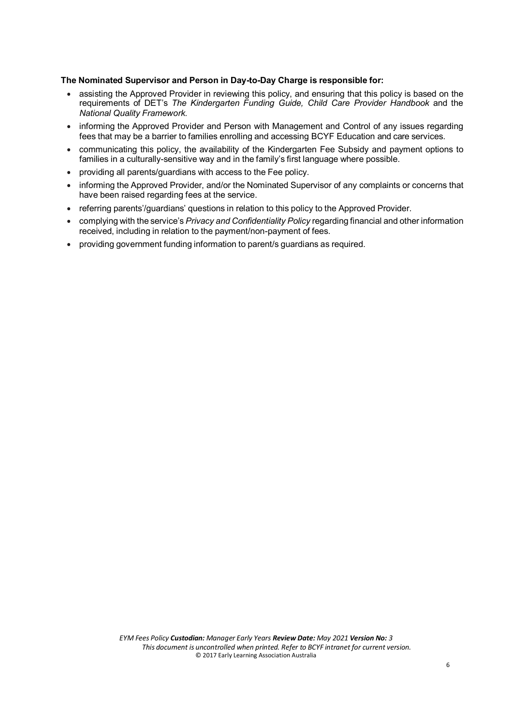#### **The Nominated Supervisor and Person in Day-to-Day Charge is responsible for:**

- assisting the Approved Provider in reviewing this policy, and ensuring that this policy is based on the requirements of DET's *The Kindergarten Funding Guide, Child Care Provider Handbook* and the *National Quality Framework.*
- informing the Approved Provider and Person with Management and Control of any issues regarding fees that may be a barrier to families enrolling and accessing BCYF Education and care services.
- communicating this policy, the availability of the Kindergarten Fee Subsidy and payment options to families in a culturally-sensitive way and in the family's first language where possible.
- providing all parents/guardians with access to the Fee policy.
- informing the Approved Provider, and/or the Nominated Supervisor of any complaints or concerns that have been raised regarding fees at the service.
- referring parents'/guardians' questions in relation to this policy to the Approved Provider.
- complying with the service's *Privacy and Confidentiality Policy* regarding financial and other information received, including in relation to the payment/non-payment of fees.
- providing government funding information to parent/s guardians as required.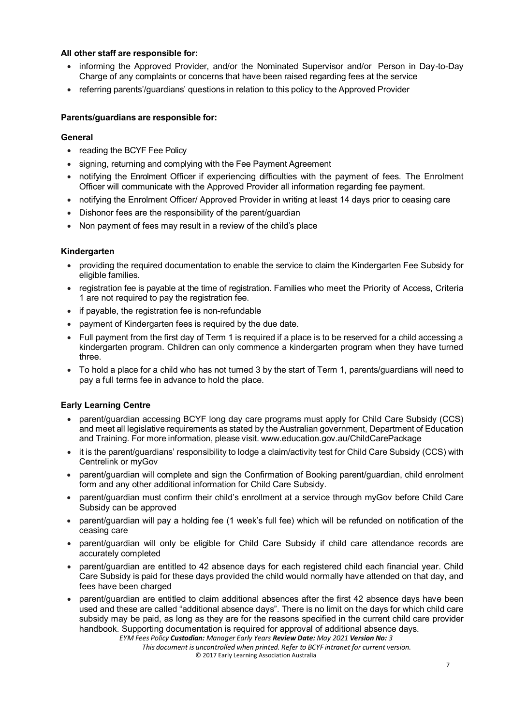## **All other staff are responsible for:**

- informing the Approved Provider, and/or the Nominated Supervisor and/or Person in Day-to-Day Charge of any complaints or concerns that have been raised regarding fees at the service
- referring parents'/guardians' questions in relation to this policy to the Approved Provider

# **Parents/guardians are responsible for:**

## **General**

- reading the BCYF Fee Policy
- signing, returning and complying with the Fee Payment Agreement
- notifying the Enrolment Officer if experiencing difficulties with the payment of fees. The Enrolment Officer will communicate with the Approved Provider all information regarding fee payment.
- notifying the Enrolment Officer/ Approved Provider in writing at least 14 days prior to ceasing care
- Dishonor fees are the responsibility of the parent/guardian
- Non payment of fees may result in a review of the child's place

## **Kindergarten**

- providing the required documentation to enable the service to claim the Kindergarten Fee Subsidy for eligible families.
- registration fee is payable at the time of registration. Families who meet the Priority of Access, Criteria 1 are not required to pay the registration fee.
- if payable, the registration fee is non-refundable
- payment of Kindergarten fees is required by the due date.
- Full payment from the first day of Term 1 is required if a place is to be reserved for a child accessing a kindergarten program. Children can only commence a kindergarten program when they have turned three.
- To hold a place for a child who has not turned 3 by the start of Term 1, parents/guardians will need to pay a full terms fee in advance to hold the place.

## **Early Learning Centre**

- parent/guardian accessing BCYF long day care programs must apply for Child Care Subsidy (CCS) and meet all legislative requirements as stated by the Australian government, Department of Education and Training. For more information, please visit. [www.education.gov.au/ChildCarePackage](http://www.education.gov.au/ChildCarePackage)
- it is the parent/guardians' responsibility to lodge a claim/activity test for Child Care Subsidy (CCS) with Centrelink or myGov
- parent/guardian will complete and sign the Confirmation of Booking parent/guardian, child enrolment form and any other additional information for Child Care Subsidy.
- parent/guardian must confirm their child's enrollment at a service through myGov before Child Care Subsidy can be approved
- parent/guardian will pay a holding fee (1 week's full fee) which will be refunded on notification of the ceasing care
- parent/guardian will only be eligible for Child Care Subsidy if child care attendance records are accurately completed
- parent/guardian are entitled to 42 absence days for each registered child each financial year. Child Care Subsidy is paid for these days provided the child would normally have attended on that day, and fees have been charged
- parent/guardian are entitled to claim additional absences after the first 42 absence days have been used and these are called "additional absence days". There is no limit on the days for which child care subsidy may be paid, as long as they are for the reasons specified in the current child care provider handbook. Supporting documentation is required for approval of additional absence days.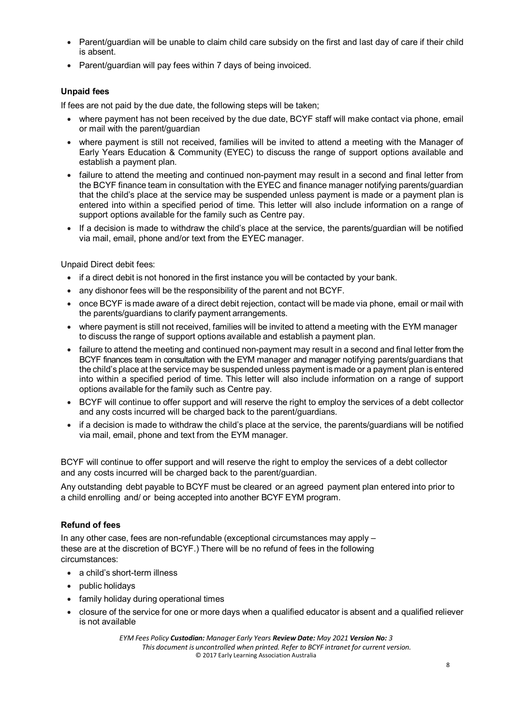- Parent/guardian will be unable to claim child care subsidy on the first and last day of care if their child is absent.
- Parent/guardian will pay fees within 7 days of being invoiced.

# **Unpaid fees**

If fees are not paid by the due date, the following steps will be taken;

- where payment has not been received by the due date, BCYF staff will make contact via phone, email or mail with the parent/guardian
- where payment is still not received, families will be invited to attend a meeting with the Manager of Early Years Education & Community (EYEC) to discuss the range of support options available and establish a payment plan.
- failure to attend the meeting and continued non-payment may result in a second and final letter from the BCYF finance team in consultation with the EYEC and finance manager notifying parents/guardian that the child's place at the service may be suspended unless payment is made or a payment plan is entered into within a specified period of time. This letter will also include information on a range of support options available for the family such as Centre pay.
- If a decision is made to withdraw the child's place at the service, the parents/guardian will be notified via mail, email, phone and/or text from the EYEC manager.

Unpaid Direct debit fees:

- if a direct debit is not honored in the first instance you will be contacted by your bank.
- any dishonor fees will be the responsibility of the parent and not BCYF.
- once BCYF is made aware of a direct debit rejection, contact will be made via phone, email or mail with the parents/guardians to clarify payment arrangements.
- where payment is still not received, families will be invited to attend a meeting with the EYM manager to discuss the range of support options available and establish a payment plan.
- failure to attend the meeting and continued non-payment may result in a second and final letter from the BCYF finances team in consultation with the EYM manager and manager notifying parents/guardians that the child's place at the service may be suspended unless payment is made or a payment plan is entered into within a specified period of time. This letter will also include information on a range of support options available for the family such as Centre pay.
- BCYF will continue to offer support and will reserve the right to employ the services of a debt collector and any costs incurred will be charged back to the parent/guardians.
- if a decision is made to withdraw the child's place at the service, the parents/guardians will be notified via mail, email, phone and text from the EYM manager.

BCYF will continue to offer support and will reserve the right to employ the services of a debt collector and any costs incurred will be charged back to the parent/guardian.

Any outstanding debt payable to BCYF must be cleared or an agreed payment plan entered into prior to a child enrolling and/ or being accepted into another BCYF EYM program.

# **Refund of fees**

In any other case, fees are non-refundable (exceptional circumstances may apply – these are at the discretion of BCYF.) There will be no refund of fees in the following circumstances:

- a child's short-term illness
- public holidays
- family holiday during operational times
- closure of the service for one or more days when a qualified educator is absent and a qualified reliever is not available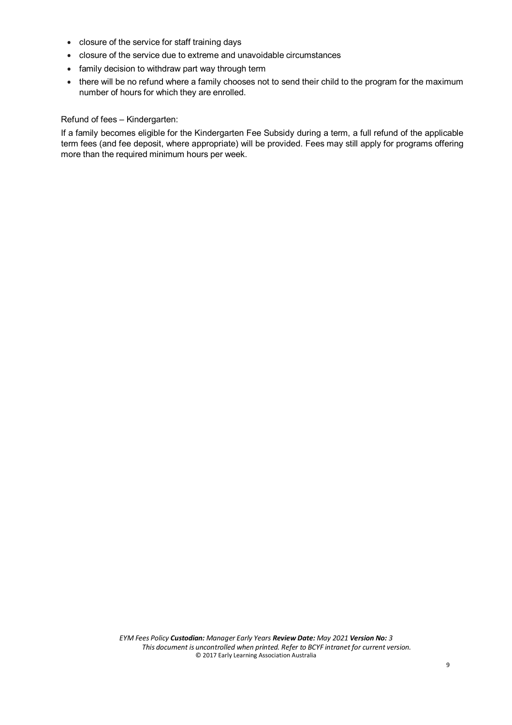- closure of the service for staff training days
- closure of the service due to extreme and unavoidable circumstances
- family decision to withdraw part way through term
- there will be no refund where a family chooses not to send their child to the program for the maximum number of hours for which they are enrolled.

Refund of fees – Kindergarten:

If a family becomes eligible for the Kindergarten Fee Subsidy during a term, a full refund of the applicable term fees (and fee deposit, where appropriate) will be provided. Fees may still apply for programs offering more than the required minimum hours per week.